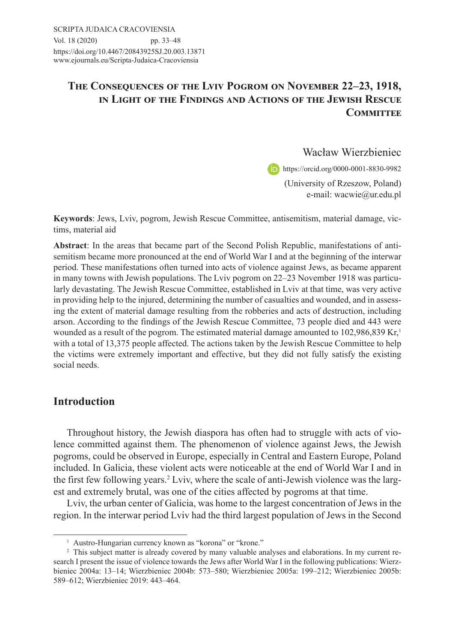# **The Consequences of the Lviv Pogrom on November 22–23, 1918, in Light of the Findings and Actions of the Jewish Rescue COMMITTEE**

Wacław Wierzbieniec

https://orcid.org/0000-0001-8830-9982

(University of Rzeszow, Poland) e-mail: wacwie@ur.edu.pl

**Keywords**: Jews, Lviv, pogrom, Jewish Rescue Committee, antisemitism, material damage, victims, material aid

**Abstract**: In the areas that became part of the Second Polish Republic, manifestations of antisemitism became more pronounced at the end of World War I and at the beginning of the interwar period. These manifestations often turned into acts of violence against Jews, as became apparent in many towns with Jewish populations. The Lviv pogrom on 22–23 November 1918 was particularly devastating. The Jewish Rescue Committee, established in Lviv at that time, was very active in providing help to the injured, determining the number of casualties and wounded, and in assessing the extent of material damage resulting from the robberies and acts of destruction, including arson. According to the findings of the Jewish Rescue Committee, 73 people died and 443 were wounded as a result of the pogrom. The estimated material damage amounted to  $102,986,839$  Kr,<sup>1</sup> with a total of 13,375 people affected. The actions taken by the Jewish Rescue Committee to help the victims were extremely important and effective, but they did not fully satisfy the existing social needs.

# **Introduction**

Throughout history, the Jewish diaspora has often had to struggle with acts of violence committed against them. The phenomenon of violence against Jews, the Jewish pogroms, could be observed in Europe, especially in Central and Eastern Europe, Poland included. In Galicia, these violent acts were noticeable at the end of World War I and in the first few following years.<sup>2</sup> Lviv, where the scale of anti-Jewish violence was the largest and extremely brutal, was one of the cities affected by pogroms at that time.

Lviv, the urban center of Galicia, was home to the largest concentration of Jews in the region. In the interwar period Lviv had the third largest population of Jews in the Second

<sup>&</sup>lt;sup>1</sup> Austro-Hungarian currency known as "korona" or "krone."

<sup>&</sup>lt;sup>2</sup> This subject matter is already covered by many valuable analyses and elaborations. In my current research I present the issue of violence towards the Jews after World War I in the following publications: Wierzbieniec 2004a: 13–14; Wierzbieniec 2004b: 573–580; Wierzbieniec 2005a: 199–212; Wierzbieniec 2005b: 589–612; Wierzbieniec 2019: 443–464.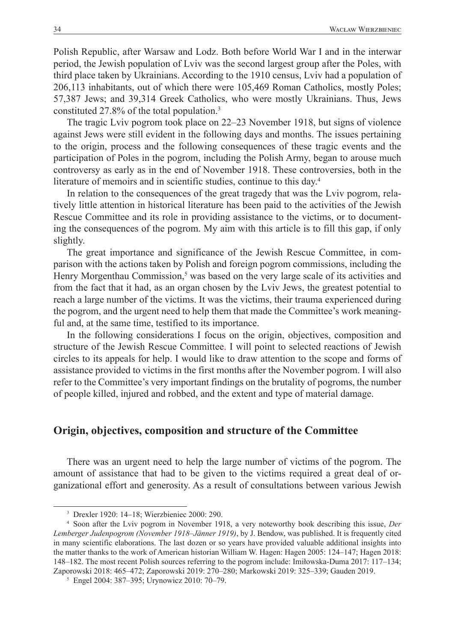Polish Republic, after Warsaw and Lodz. Both before World War I and in the interwar period, the Jewish population of Lviv was the second largest group after the Poles, with third place taken by Ukrainians. According to the 1910 census, Lviv had a population of 206,113 inhabitants, out of which there were 105,469 Roman Catholics, mostly Poles; 57,387 Jews; and 39,314 Greek Catholics, who were mostly Ukrainians. Thus, Jews constituted 27.8% of the total population.3

The tragic Lviv pogrom took place on 22–23 November 1918, but signs of violence against Jews were still evident in the following days and months. The issues pertaining to the origin, process and the following consequences of these tragic events and the participation of Poles in the pogrom, including the Polish Army, began to arouse much controversy as early as in the end of November 1918. These controversies, both in the literature of memoirs and in scientific studies, continue to this day.<sup>4</sup>

In relation to the consequences of the great tragedy that was the Lviv pogrom, relatively little attention in historical literature has been paid to the activities of the Jewish Rescue Committee and its role in providing assistance to the victims, or to documenting the consequences of the pogrom. My aim with this article is to fill this gap, if only slightly.

The great importance and significance of the Jewish Rescue Committee, in comparison with the actions taken by Polish and foreign pogrom commissions, including the Henry Morgenthau Commission,<sup>5</sup> was based on the very large scale of its activities and from the fact that it had, as an organ chosen by the Lviv Jews, the greatest potential to reach a large number of the victims. It was the victims, their trauma experienced during the pogrom, and the urgent need to help them that made the Committee's work meaningful and, at the same time, testified to its importance.

In the following considerations I focus on the origin, objectives, composition and structure of the Jewish Rescue Committee. I will point to selected reactions of Jewish circles to its appeals for help. I would like to draw attention to the scope and forms of assistance provided to victims in the first months after the November pogrom. I will also refer to the Committee's very important findings on the brutality of pogroms, the number of people killed, injured and robbed, and the extent and type of material damage.

#### **Origin, objectives, composition and structure of the Committee**

There was an urgent need to help the large number of victims of the pogrom. The amount of assistance that had to be given to the victims required a great deal of organizational effort and generosity. As a result of consultations between various Jewish

<sup>3</sup> Drexler 1920: 14–18; Wierzbieniec 2000: 290.

<sup>4</sup> Soon after the Lviv pogrom in November 1918, a very noteworthy book describing this issue, *Der Lemberger Judenpogrom (November 1918–Jänner 1919)*, by J. Bendow, was published. It is frequently cited in many scientific elaborations. The last dozen or so years have provided valuable additional insights into the matter thanks to the work of American historian William W. Hagen: Hagen 2005: 124–147; Hagen 2018: 148–182. The most recent Polish sources referring to the pogrom include: Imiłowska-Duma 2017: 117–134; Zaporowski 2018: 465–472; Zaporowski 2019: 270–280; Markowski 2019: 325–339; Gauden 2019.

<sup>5</sup> Engel 2004: 387–395; Urynowicz 2010: 70–79.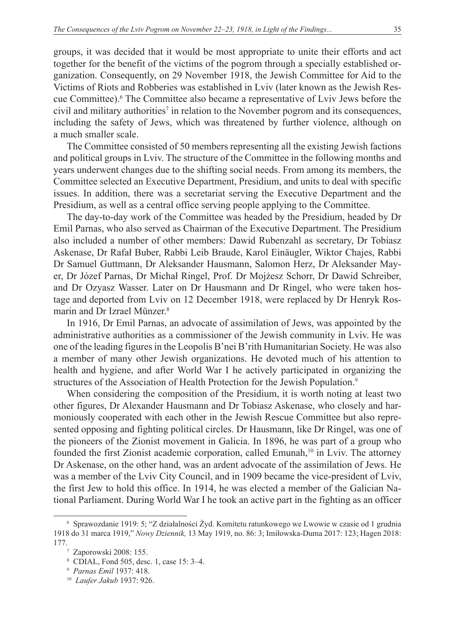groups, it was decided that it would be most appropriate to unite their efforts and act together for the benefit of the victims of the pogrom through a specially established organization. Consequently, on 29 November 1918, the Jewish Committee for Aid to the Victims of Riots and Robberies was established in Lviv (later known as the Jewish Rescue Committee).6 The Committee also became a representative of Lviv Jews before the civil and military authorities<sup>7</sup> in relation to the November pogrom and its consequences, including the safety of Jews, which was threatened by further violence, although on a much smaller scale.

The Committee consisted of 50 members representing all the existing Jewish factions and political groups in Lviv. The structure of the Committee in the following months and years underwent changes due to the shifting social needs. From among its members, the Committee selected an Executive Department, Presidium, and units to deal with specific issues. In addition, there was a secretariat serving the Executive Department and the Presidium, as well as a central office serving people applying to the Committee.

The day-to-day work of the Committee was headed by the Presidium, headed by Dr Emil Parnas, who also served as Chairman of the Executive Department. The Presidium also included a number of other members: Dawid Rubenzahl as secretary, Dr Tobiasz Askenase, Dr Rafał Buber, Rabbi Leib Braude, Karol Einäugler, Wiktor Chajes, Rabbi Dr Samuel Guttmann, Dr Aleksander Hausmann, Salomon Herz, Dr Aleksander Mayer, Dr Józef Parnas, Dr Michał Ringel, Prof. Dr Mojżesz Schorr, Dr Dawid Schreiber, and Dr Ozyasz Wasser. Later on Dr Hausmann and Dr Ringel, who were taken hostage and deported from Lviv on 12 December 1918, were replaced by Dr Henryk Rosmarin and Dr Izrael Münzer.8

In 1916, Dr Emil Parnas, an advocate of assimilation of Jews, was appointed by the administrative authorities as a commissioner of the Jewish community in Lviv. He was one of the leading figures in the Leopolis B'nei B'rith Humanitarian Society. He was also a member of many other Jewish organizations. He devoted much of his attention to health and hygiene, and after World War I he actively participated in organizing the structures of the Association of Health Protection for the Jewish Population.<sup>9</sup>

When considering the composition of the Presidium, it is worth noting at least two other figures, Dr Alexander Hausmann and Dr Tobiasz Askenase, who closely and harmoniously cooperated with each other in the Jewish Rescue Committee but also represented opposing and fighting political circles. Dr Hausmann, like Dr Ringel, was one of the pioneers of the Zionist movement in Galicia. In 1896, he was part of a group who founded the first Zionist academic corporation, called Emunah, $\frac{10}{10}$  in Lviv. The attorney Dr Askenase, on the other hand, was an ardent advocate of the assimilation of Jews. He was a member of the Lviv City Council, and in 1909 became the vice-president of Lviv, the first Jew to hold this office. In 1914, he was elected a member of the Galician National Parliament. During World War I he took an active part in the fighting as an officer

<sup>6</sup> Sprawozdanie 1919: 5; "Z działalności Żyd. Komitetu ratunkowego we Lwowie w czasie od 1 grudnia 1918 do 31 marca 1919," *Nowy Dziennik,* 13 May 1919, no. 86: 3; Imiłowska-Duma 2017: 123; Hagen 2018: 177.

<sup>7</sup> Zaporowski 2008: 155.

<sup>8</sup> CDIAL, Fond 505, desc. 1, case 15: 3–4.

<sup>9</sup> *Parnas Emil* 1937: 418. 10 *Laufer Jakub* 1937: 926.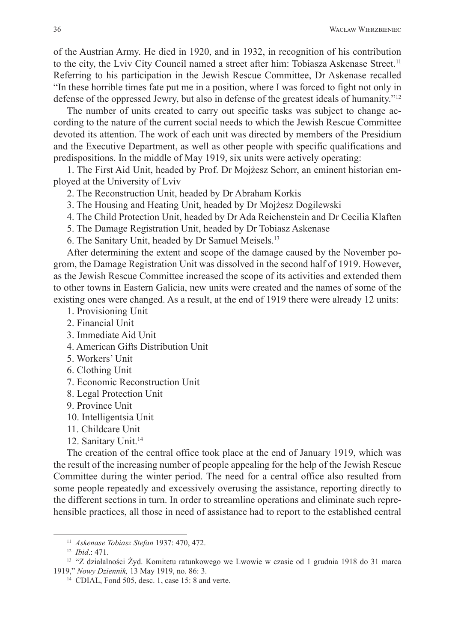of the Austrian Army. He died in 1920, and in 1932, in recognition of his contribution to the city, the Lviv City Council named a street after him: Tobiasza Askenase Street.<sup>11</sup> Referring to his participation in the Jewish Rescue Committee, Dr Askenase recalled "In these horrible times fate put me in a position, where I was forced to fight not only in defense of the oppressed Jewry, but also in defense of the greatest ideals of humanity."12

The number of units created to carry out specific tasks was subject to change according to the nature of the current social needs to which the Jewish Rescue Committee devoted its attention. The work of each unit was directed by members of the Presidium and the Executive Department, as well as other people with specific qualifications and predispositions. In the middle of May 1919, six units were actively operating:

1. The First Aid Unit, headed by Prof. Dr Mojżesz Schorr, an eminent historian employed at the University of Lviv

2. The Reconstruction Unit, headed by Dr Abraham Korkis

3. The Housing and Heating Unit, headed by Dr Mojżesz Dogilewski

4. The Child Protection Unit, headed by Dr Ada Reichenstein and Dr Cecilia Klaften

5. The Damage Registration Unit, headed by Dr Tobiasz Askenase

6. The Sanitary Unit, headed by Dr Samuel Meisels.13

After determining the extent and scope of the damage caused by the November pogrom, the Damage Registration Unit was dissolved in the second half of 1919. However, as the Jewish Rescue Committee increased the scope of its activities and extended them to other towns in Eastern Galicia, new units were created and the names of some of the existing ones were changed. As a result, at the end of 1919 there were already 12 units:

1. Provisioning Unit

- 2. Financial Unit
- 3. Immediate Aid Unit
- 4. American Gifts Distribution Unit
- 5. Workers' Unit
- 6. Clothing Unit
- 7. Economic Reconstruction Unit
- 8. Legal Protection Unit
- 9. Province Unit
- 10. Intelligentsia Unit

11. Childcare Unit

12. Sanitary Unit.<sup>14</sup>

The creation of the central office took place at the end of January 1919, which was the result of the increasing number of people appealing for the help of the Jewish Rescue Committee during the winter period. The need for a central office also resulted from some people repeatedly and excessively overusing the assistance, reporting directly to the different sections in turn. In order to streamline operations and eliminate such reprehensible practices, all those in need of assistance had to report to the established central

<sup>11</sup> *Askenase Tobiasz Stefan* 1937: 470, 472. 12 *Ibid*.: 471.

<sup>13</sup> "Z działalności Żyd. Komitetu ratunkowego we Lwowie w czasie od 1 grudnia 1918 do 31 marca 1919," *Nowy Dziennik,* 13 May 1919, no. 86: 3. 14 CDIAL, Fond 505, desc. 1, case 15: 8 and verte.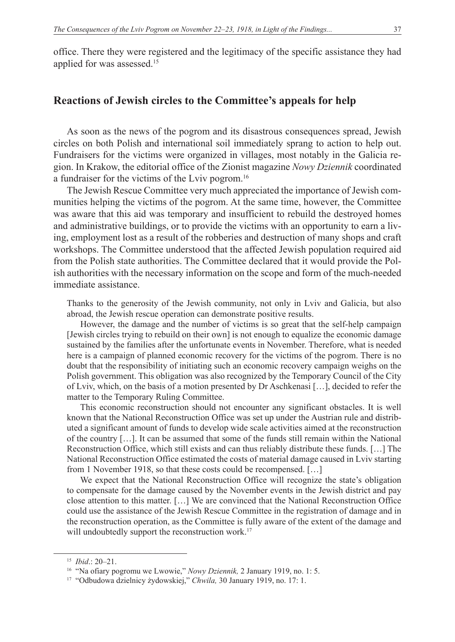office. There they were registered and the legitimacy of the specific assistance they had applied for was assessed.15

### **Reactions of Jewish circles to the Committee's appeals for help**

As soon as the news of the pogrom and its disastrous consequences spread, Jewish circles on both Polish and international soil immediately sprang to action to help out. Fundraisers for the victims were organized in villages, most notably in the Galicia region. In Krakow, the editorial office of the Zionist magazine *Nowy Dziennik* coordinated a fundraiser for the victims of the Lviv pogrom.16

The Jewish Rescue Committee very much appreciated the importance of Jewish communities helping the victims of the pogrom. At the same time, however, the Committee was aware that this aid was temporary and insufficient to rebuild the destroyed homes and administrative buildings, or to provide the victims with an opportunity to earn a living, employment lost as a result of the robberies and destruction of many shops and craft workshops. The Committee understood that the affected Jewish population required aid from the Polish state authorities. The Committee declared that it would provide the Polish authorities with the necessary information on the scope and form of the much-needed immediate assistance.

Thanks to the generosity of the Jewish community, not only in Lviv and Galicia, but also abroad, the Jewish rescue operation can demonstrate positive results.

However, the damage and the number of victims is so great that the self-help campaign [Jewish circles trying to rebuild on their own] is not enough to equalize the economic damage sustained by the families after the unfortunate events in November. Therefore, what is needed here is a campaign of planned economic recovery for the victims of the pogrom. There is no doubt that the responsibility of initiating such an economic recovery campaign weighs on the Polish government. This obligation was also recognized by the Temporary Council of the City of Lviv, which, on the basis of a motion presented by Dr Aschkenasi […], decided to refer the matter to the Temporary Ruling Committee.

This economic reconstruction should not encounter any significant obstacles. It is well known that the National Reconstruction Office was set up under the Austrian rule and distributed a significant amount of funds to develop wide scale activities aimed at the reconstruction of the country […]. It can be assumed that some of the funds still remain within the National Reconstruction Office, which still exists and can thus reliably distribute these funds. […] The National Reconstruction Office estimated the costs of material damage caused in Lviv starting from 1 November 1918, so that these costs could be recompensed. […]

We expect that the National Reconstruction Office will recognize the state's obligation to compensate for the damage caused by the November events in the Jewish district and pay close attention to this matter. […] We are convinced that the National Reconstruction Office could use the assistance of the Jewish Rescue Committee in the registration of damage and in the reconstruction operation, as the Committee is fully aware of the extent of the damage and will undoubtedly support the reconstruction work.<sup>17</sup>

<sup>15</sup> *Ibid*.: 20–21.

<sup>16</sup> "Na ofiary pogromu we Lwowie," *Nowy Dziennik,* 2 January 1919, no. 1: 5.

<sup>17</sup> "Odbudowa dzielnicy żydowskiej," *Chwila,* 30 January 1919, no. 17: 1.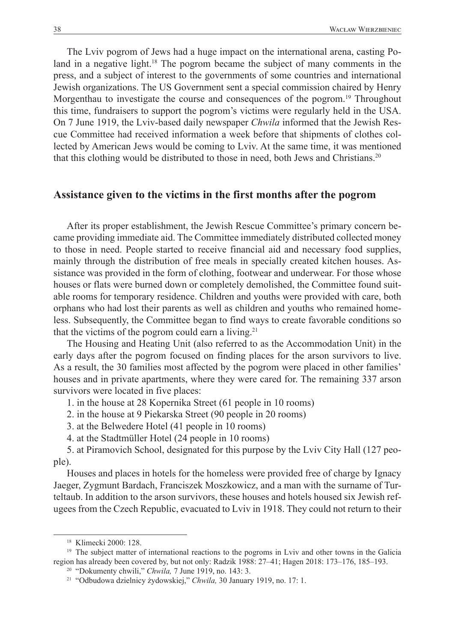The Lviv pogrom of Jews had a huge impact on the international arena, casting Poland in a negative light.<sup>18</sup> The pogrom became the subject of many comments in the press, and a subject of interest to the governments of some countries and international Jewish organizations. The US Government sent a special commission chaired by Henry Morgenthau to investigate the course and consequences of the pogrom.<sup>19</sup> Throughout this time, fundraisers to support the pogrom's victims were regularly held in the USA. On 7 June 1919, the Lviv-based daily newspaper *Chwila* informed that the Jewish Rescue Committee had received information a week before that shipments of clothes collected by American Jews would be coming to Lviv. At the same time, it was mentioned that this clothing would be distributed to those in need, both Jews and Christians.20

### **Assistance given to the victims in the first months after the pogrom**

After its proper establishment, the Jewish Rescue Committee's primary concern became providing immediate aid. The Committee immediately distributed collected money to those in need. People started to receive financial aid and necessary food supplies, mainly through the distribution of free meals in specially created kitchen houses. Assistance was provided in the form of clothing, footwear and underwear. For those whose houses or flats were burned down or completely demolished, the Committee found suitable rooms for temporary residence. Children and youths were provided with care, both orphans who had lost their parents as well as children and youths who remained homeless. Subsequently, the Committee began to find ways to create favorable conditions so that the victims of the pogrom could earn a living.<sup>21</sup>

The Housing and Heating Unit (also referred to as the Accommodation Unit) in the early days after the pogrom focused on finding places for the arson survivors to live. As a result, the 30 families most affected by the pogrom were placed in other families' houses and in private apartments, where they were cared for. The remaining 337 arson survivors were located in five places:

1. in the house at 28 Kopernika Street (61 people in 10 rooms)

2. in the house at 9 Piekarska Street (90 people in 20 rooms)

3. at the Belwedere Hotel (41 people in 10 rooms)

4. at the Stadtmüller Hotel (24 people in 10 rooms)

5. at Piramovich School, designated for this purpose by the Lviv City Hall (127 people).

Houses and places in hotels for the homeless were provided free of charge by Ignacy Jaeger, Zygmunt Bardach, Franciszek Moszkowicz, and a man with the surname of Turteltaub. In addition to the arson survivors, these houses and hotels housed six Jewish refugees from the Czech Republic, evacuated to Lviv in 1918. They could not return to their

<sup>18</sup> Klimecki 2000: 128.

<sup>&</sup>lt;sup>19</sup> The subject matter of international reactions to the pogroms in Lviv and other towns in the Galicia region has already been covered by, but not only: Radzik 1988: 27–41; Hagen 2018: 173–176, 185–193.

<sup>20</sup> "Dokumenty chwili," *Chwila,* 7 June 1919, no. 143: 3. 21 "Odbudowa dzielnicy żydowskiej," *Chwila,* 30 January 1919, no. 17: 1.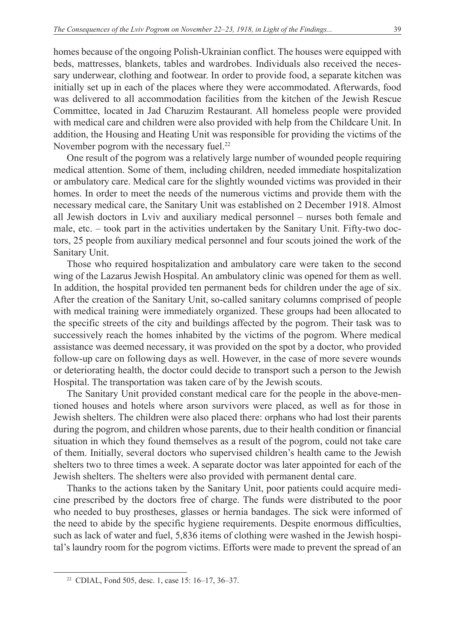beds, mattresses, blankets, tables and wardrobes. Individuals also received the necessary underwear, clothing and footwear. In order to provide food, a separate kitchen was initially set up in each of the places where they were accommodated. Afterwards, food was delivered to all accommodation facilities from the kitchen of the Jewish Rescue Committee, located in Jad Charuzim Restaurant. All homeless people were provided with medical care and children were also provided with help from the Childcare Unit. In addition, the Housing and Heating Unit was responsible for providing the victims of the November pogrom with the necessary fuel.<sup>22</sup>

One result of the pogrom was a relatively large number of wounded people requiring medical attention. Some of them, including children, needed immediate hospitalization or ambulatory care. Medical care for the slightly wounded victims was provided in their homes. In order to meet the needs of the numerous victims and provide them with the necessary medical care, the Sanitary Unit was established on 2 December 1918. Almost all Jewish doctors in Lviv and auxiliary medical personnel – nurses both female and male, etc. – took part in the activities undertaken by the Sanitary Unit. Fifty-two doctors, 25 people from auxiliary medical personnel and four scouts joined the work of the Sanitary Unit.

Those who required hospitalization and ambulatory care were taken to the second wing of the Lazarus Jewish Hospital. An ambulatory clinic was opened for them as well. In addition, the hospital provided ten permanent beds for children under the age of six. After the creation of the Sanitary Unit, so-called sanitary columns comprised of people with medical training were immediately organized. These groups had been allocated to the specific streets of the city and buildings affected by the pogrom. Their task was to successively reach the homes inhabited by the victims of the pogrom. Where medical assistance was deemed necessary, it was provided on the spot by a doctor, who provided follow-up care on following days as well. However, in the case of more severe wounds or deteriorating health, the doctor could decide to transport such a person to the Jewish Hospital. The transportation was taken care of by the Jewish scouts.

The Sanitary Unit provided constant medical care for the people in the above-mentioned houses and hotels where arson survivors were placed, as well as for those in Jewish shelters. The children were also placed there: orphans who had lost their parents during the pogrom, and children whose parents, due to their health condition or financial situation in which they found themselves as a result of the pogrom, could not take care of them. Initially, several doctors who supervised children's health came to the Jewish shelters two to three times a week. A separate doctor was later appointed for each of the Jewish shelters. The shelters were also provided with permanent dental care.

Thanks to the actions taken by the Sanitary Unit, poor patients could acquire medicine prescribed by the doctors free of charge. The funds were distributed to the poor who needed to buy prostheses, glasses or hernia bandages. The sick were informed of the need to abide by the specific hygiene requirements. Despite enormous difficulties, such as lack of water and fuel, 5,836 items of clothing were washed in the Jewish hospital's laundry room for the pogrom victims. Efforts were made to prevent the spread of an

<sup>22</sup> CDIAL, Fond 505, desc. 1, case 15: 16–17, 36–37.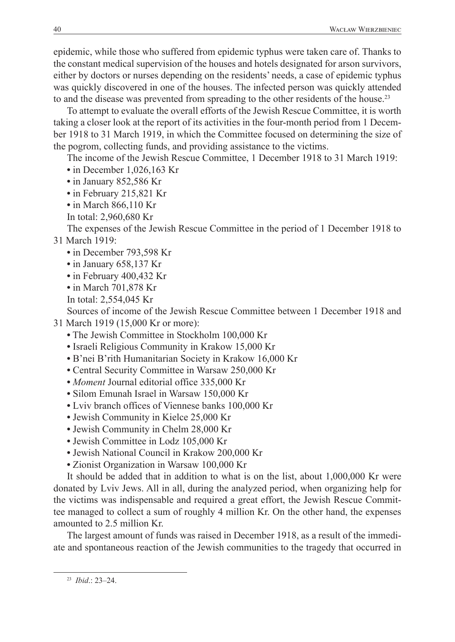epidemic, while those who suffered from epidemic typhus were taken care of. Thanks to the constant medical supervision of the houses and hotels designated for arson survivors, either by doctors or nurses depending on the residents' needs, a case of epidemic typhus was quickly discovered in one of the houses. The infected person was quickly attended to and the disease was prevented from spreading to the other residents of the house.<sup>23</sup>

To attempt to evaluate the overall efforts of the Jewish Rescue Committee, it is worth taking a closer look at the report of its activities in the four-month period from 1 December 1918 to 31 March 1919, in which the Committee focused on determining the size of the pogrom, collecting funds, and providing assistance to the victims.

The income of the Jewish Rescue Committee, 1 December 1918 to 31 March 1919:

- **•** in December 1,026,163 Kr
- **•** in January 852,586 Kr
- **•** in February 215,821 Kr
- **•** in March 866,110 Kr
- In total: 2,960,680 Kr

The expenses of the Jewish Rescue Committee in the period of 1 December 1918 to 31 March 1919:

- **•** in December 793,598 Kr
- **•** in January 658,137 Kr
- **•** in February 400,432 Kr
- **•** in March 701,878 Kr
- In total: 2,554,045 Kr

Sources of income of the Jewish Rescue Committee between 1 December 1918 and 31 March 1919 (15,000 Kr or more):

- **•** The Jewish Committee in Stockholm 100,000 Kr
- **•** Israeli Religious Community in Krakow 15,000 Kr
- **•** B'nei B'rith Humanitarian Society in Krakow 16,000 Kr
- **•** Central Security Committee in Warsaw 250,000 Kr
- **•** *Moment* Journal editorial office 335,000 Kr
- **•** Silom Emunah Israel in Warsaw 150,000 Kr
- **•** Lviv branch offices of Viennese banks 100,000 Kr
- **•** Jewish Community in Kielce 25,000 Kr
- **•** Jewish Community in Chelm 28,000 Kr
- **•** Jewish Committee in Lodz 105,000 Kr
- **•** Jewish National Council in Krakow 200,000 Kr
- **•** Zionist Organization in Warsaw 100,000 Kr

It should be added that in addition to what is on the list, about 1,000,000 Kr were donated by Lviv Jews. All in all, during the analyzed period, when organizing help for the victims was indispensable and required a great effort, the Jewish Rescue Committee managed to collect a sum of roughly 4 million Kr. On the other hand, the expenses amounted to 2.5 million Kr.

The largest amount of funds was raised in December 1918, as a result of the immediate and spontaneous reaction of the Jewish communities to the tragedy that occurred in

<sup>23</sup> *Ibid*.: 23–24.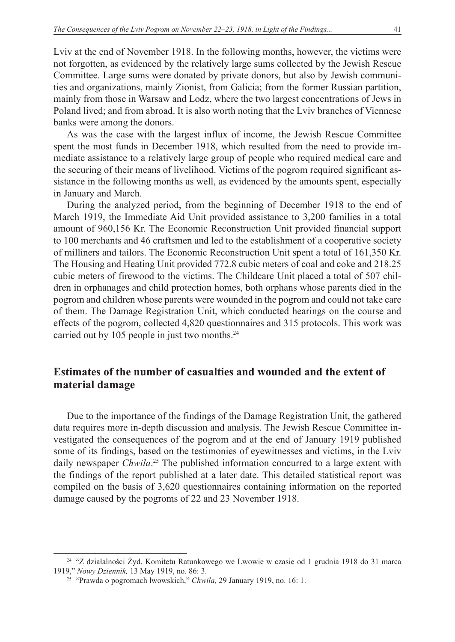Lviv at the end of November 1918. In the following months, however, the victims were not forgotten, as evidenced by the relatively large sums collected by the Jewish Rescue Committee. Large sums were donated by private donors, but also by Jewish communities and organizations, mainly Zionist, from Galicia; from the former Russian partition, mainly from those in Warsaw and Lodz, where the two largest concentrations of Jews in Poland lived; and from abroad. It is also worth noting that the Lviv branches of Viennese banks were among the donors.

As was the case with the largest influx of income, the Jewish Rescue Committee spent the most funds in December 1918, which resulted from the need to provide immediate assistance to a relatively large group of people who required medical care and the securing of their means of livelihood. Victims of the pogrom required significant assistance in the following months as well, as evidenced by the amounts spent, especially in January and March.

During the analyzed period, from the beginning of December 1918 to the end of March 1919, the Immediate Aid Unit provided assistance to 3,200 families in a total amount of 960,156 Kr. The Economic Reconstruction Unit provided financial support to 100 merchants and 46 craftsmen and led to the establishment of a cooperative society of milliners and tailors. The Economic Reconstruction Unit spent a total of 161,350 Kr. The Housing and Heating Unit provided 772.8 cubic meters of coal and coke and 218.25 cubic meters of firewood to the victims. The Childcare Unit placed a total of 507 children in orphanages and child protection homes, both orphans whose parents died in the pogrom and children whose parents were wounded in the pogrom and could not take care of them. The Damage Registration Unit, which conducted hearings on the course and effects of the pogrom, collected 4,820 questionnaires and 315 protocols. This work was carried out by 105 people in just two months.<sup>24</sup>

# **Estimates of the number of casualties and wounded and the extent of material damage**

Due to the importance of the findings of the Damage Registration Unit, the gathered data requires more in-depth discussion and analysis. The Jewish Rescue Committee investigated the consequences of the pogrom and at the end of January 1919 published some of its findings, based on the testimonies of eyewitnesses and victims, in the Lviv daily newspaper *Chwila*. 25 The published information concurred to a large extent with the findings of the report published at a later date. This detailed statistical report was compiled on the basis of 3,620 questionnaires containing information on the reported damage caused by the pogroms of 22 and 23 November 1918.

<sup>24</sup> "Z działalności Żyd. Komitetu Ratunkowego we Lwowie w czasie od 1 grudnia 1918 do 31 marca 1919," *Nowy Dziennik,* 13 May 1919, no. 86: 3.

<sup>25</sup> "Prawda o pogromach lwowskich," *Chwila,* 29 January 1919, no. 16: 1.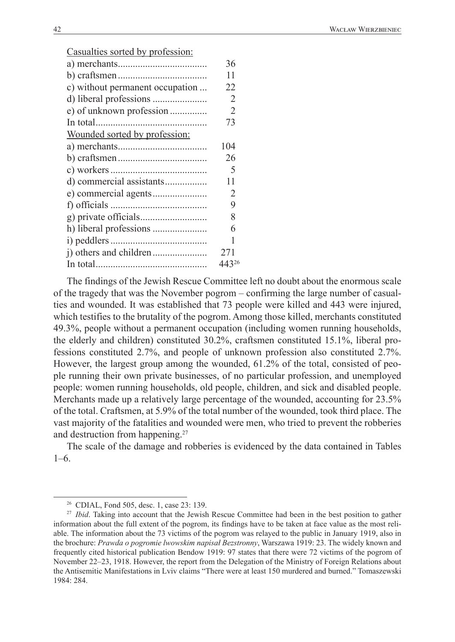Casualties sorted by profession:

|                                 | 36             |
|---------------------------------|----------------|
|                                 | 11             |
| c) without permanent occupation | 22             |
|                                 | 2              |
| e) of unknown profession        | $\overline{2}$ |
|                                 | 73             |
| Wounded sorted by profession:   |                |
|                                 | 104            |
|                                 | 26             |
|                                 | 5              |
|                                 | 11             |
|                                 | 2              |
|                                 | 9              |
|                                 | 8              |
|                                 | 6              |
|                                 | 1              |
|                                 | 271            |
|                                 | 44326          |
|                                 |                |

The findings of the Jewish Rescue Committee left no doubt about the enormous scale of the tragedy that was the November pogrom – confirming the large number of casualties and wounded. It was established that 73 people were killed and 443 were injured, which testifies to the brutality of the pogrom. Among those killed, merchants constituted 49.3%, people without a permanent occupation (including women running households, the elderly and children) constituted 30.2%, craftsmen constituted 15.1%, liberal professions constituted 2.7%, and people of unknown profession also constituted 2.7%. However, the largest group among the wounded, 61.2% of the total, consisted of people running their own private businesses, of no particular profession, and unemployed people: women running households, old people, children, and sick and disabled people. Merchants made up a relatively large percentage of the wounded, accounting for 23.5% of the total. Craftsmen, at 5.9% of the total number of the wounded, took third place. The vast majority of the fatalities and wounded were men, who tried to prevent the robberies and destruction from happening.27

The scale of the damage and robberies is evidenced by the data contained in Tables 1–6.

<sup>&</sup>lt;sup>26</sup> CDIAL, Fond 505, desc. 1, case 23: 139.<br><sup>27</sup> *Ibid*. Taking into account that the Jewish Rescue Committee had been in the best position to gather information about the full extent of the pogrom, its findings have to be taken at face value as the most reliable. The information about the 73 victims of the pogrom was relayed to the public in January 1919, also in the brochure: *Prawda o pogromie lwowskim napisał Bezstronny*, Warszawa 1919: 23. The widely known and frequently cited historical publication Bendow 1919: 97 states that there were 72 victims of the pogrom of November 22–23, 1918. However, the report from the Delegation of the Ministry of Foreign Relations about the Antisemitic Manifestations in Lviv claims "There were at least 150 murdered and burned." Tomaszewski 1984: 284.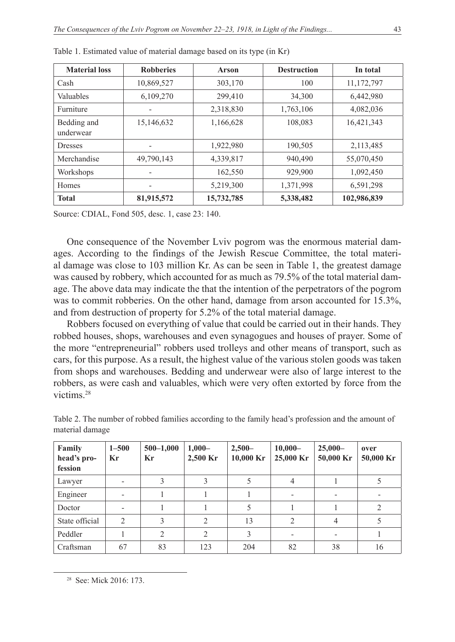| <b>Material loss</b>     | <b>Robberies</b> | <b>Arson</b> | <b>Destruction</b> | In total    |
|--------------------------|------------------|--------------|--------------------|-------------|
| Cash                     | 10,869,527       | 303,170      | 100                | 11,172,797  |
| Valuables                | 6,109,270        | 299,410      | 34,300             | 6,442,980   |
| Furniture                |                  | 2,318,830    | 1,763,106          | 4,082,036   |
| Bedding and<br>underwear | 15,146,632       | 1,166,628    | 108,083            | 16,421,343  |
| <b>Dresses</b>           | ۰                | 1,922,980    | 190,505            | 2,113,485   |
| Merchandise              | 49,790,143       | 4,339,817    | 940,490            | 55,070,450  |
| Workshops                |                  | 162,550      | 929,900            | 1,092,450   |
| Homes                    | -                | 5,219,300    | 1,371,998          | 6,591,298   |
| <b>Total</b>             | 81,915,572       | 15,732,785   | 5,338,482          | 102,986,839 |

| Table 1. Estimated value of material damage based on its type (in Kr) |  |  |
|-----------------------------------------------------------------------|--|--|
|-----------------------------------------------------------------------|--|--|

Source: CDIAL, Fond 505, desc. 1, case 23: 140.

One consequence of the November Lviv pogrom was the enormous material damages. According to the findings of the Jewish Rescue Committee, the total material damage was close to 103 million Kr. As can be seen in Table 1, the greatest damage was caused by robbery, which accounted for as much as 79.5% of the total material damage. The above data may indicate the that the intention of the perpetrators of the pogrom was to commit robberies. On the other hand, damage from arson accounted for 15.3%, and from destruction of property for 5.2% of the total material damage.

Robbers focused on everything of value that could be carried out in their hands. They robbed houses, shops, warehouses and even synagogues and houses of prayer. Some of the more "entrepreneurial" robbers used trolleys and other means of transport, such as cars, for this purpose. As a result, the highest value of the various stolen goods was taken from shops and warehouses. Bedding and underwear were also of large interest to the robbers, as were cash and valuables, which were very often extorted by force from the victims<sup>28</sup>

| Family<br>head's pro-<br>fession | $1 - 500$<br>Kr | $500 - 1,000$<br>Kr | $1,000-$<br>2,500 Kr | $2,500-$<br>$10,000$ Kr | $10,000-$<br>25,000 Kr | $25,000-$<br>50,000 Kr | over<br>50,000 Kr |
|----------------------------------|-----------------|---------------------|----------------------|-------------------------|------------------------|------------------------|-------------------|
| Lawyer                           |                 |                     | 3                    |                         |                        |                        |                   |
| Engineer                         |                 |                     |                      |                         |                        |                        |                   |
| Doctor                           | -               |                     |                      |                         |                        |                        | 2                 |
| State official                   | $\mathfrak{D}$  |                     | 2                    | 13                      | ∍                      | 4                      |                   |
| Peddler                          |                 | $\mathcal{D}$       | $\overline{2}$       | 3                       |                        |                        |                   |
| Craftsman                        | 67              | 83                  | 123                  | 204                     | 82                     | 38                     | 16                |

Table 2. The number of robbed families according to the family head's profession and the amount of material damage

<sup>28</sup> See: Mick 2016: 173.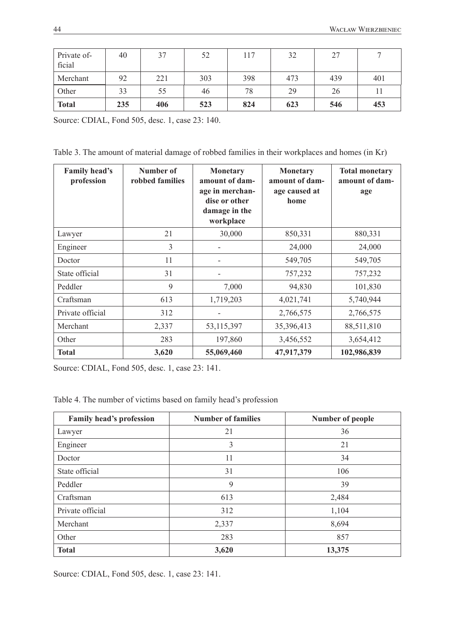| Private of-<br>ficial | 40  | 37  | 52  | 117 | 32  | 27  |     |
|-----------------------|-----|-----|-----|-----|-----|-----|-----|
| Merchant              | 92  | 221 | 303 | 398 | 473 | 439 | 401 |
| Other                 | 33  | 55  | 46  | 78  | 29  | 26  |     |
| <b>Total</b>          | 235 | 406 | 523 | 824 | 623 | 546 | 453 |

Source: CDIAL, Fond 505, desc. 1, case 23: 140.

Table 3. The amount of material damage of robbed families in their workplaces and homes (in Kr)

| <b>Family head's</b><br>profession | Number of<br>robbed families | <b>Monetary</b><br>amount of dam-<br>age in merchan-<br>dise or other<br>damage in the<br>workplace | <b>Monetary</b><br>amount of dam-<br>age caused at<br>home | <b>Total monetary</b><br>amount of dam-<br>age |
|------------------------------------|------------------------------|-----------------------------------------------------------------------------------------------------|------------------------------------------------------------|------------------------------------------------|
| Lawyer                             | 21                           | 30,000                                                                                              | 850,331                                                    | 880,331                                        |
| Engineer                           | 3                            |                                                                                                     | 24,000                                                     | 24,000                                         |
| Doctor                             | 11                           |                                                                                                     | 549,705                                                    | 549,705                                        |
| State official                     | 31                           |                                                                                                     | 757,232                                                    | 757,232                                        |
| Peddler                            | 9                            | 7,000                                                                                               | 94,830                                                     | 101,830                                        |
| Craftsman                          | 613                          | 1,719,203                                                                                           | 4,021,741                                                  | 5,740,944                                      |
| Private official                   | 312                          |                                                                                                     | 2,766,575                                                  | 2,766,575                                      |
| Merchant                           | 2,337                        | 53, 115, 397                                                                                        | 35,396,413                                                 | 88,511,810                                     |
| Other                              | 283                          | 197,860                                                                                             | 3,456,552                                                  | 3,654,412                                      |
| <b>Total</b>                       | 3,620                        | 55,069,460                                                                                          | 47,917,379                                                 | 102,986,839                                    |

Source: CDIAL, Fond 505, desc. 1, case 23: 141.

Table 4. The number of victims based on family head's profession

| <b>Family head's profession</b> | <b>Number of families</b> | Number of people |
|---------------------------------|---------------------------|------------------|
| Lawyer                          | 21                        | 36               |
| Engineer                        | 3                         | 21               |
| Doctor                          | 11                        | 34               |
| State official                  | 31                        | 106              |
| Peddler                         | 9                         | 39               |
| Craftsman                       | 613                       | 2,484            |
| Private official                | 312                       | 1,104            |
| Merchant                        | 2,337                     | 8,694            |
| Other                           | 283                       | 857              |
| <b>Total</b>                    | 3,620                     | 13,375           |

Source: CDIAL, Fond 505, desc. 1, case 23: 141.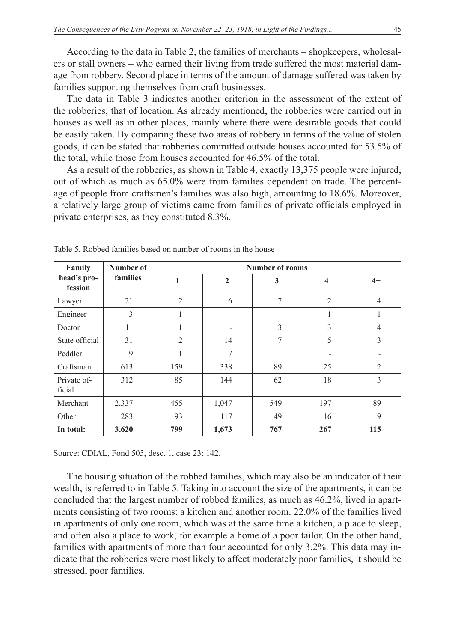According to the data in Table 2, the families of merchants – shopkeepers, wholesalers or stall owners – who earned their living from trade suffered the most material damage from robbery. Second place in terms of the amount of damage suffered was taken by families supporting themselves from craft businesses.

The data in Table 3 indicates another criterion in the assessment of the extent of the robberies, that of location. As already mentioned, the robberies were carried out in houses as well as in other places, mainly where there were desirable goods that could be easily taken. By comparing these two areas of robbery in terms of the value of stolen goods, it can be stated that robberies committed outside houses accounted for 53.5% of the total, while those from houses accounted for 46.5% of the total.

As a result of the robberies, as shown in Table 4, exactly 13,375 people were injured, out of which as much as 65.0% were from families dependent on trade. The percentage of people from craftsmen's families was also high, amounting to 18.6%. Moreover, a relatively large group of victims came from families of private officials employed in private enterprises, as they constituted 8.3%.

| Family                 | Number of | <b>Number of rooms</b> |                |                |                         |                |  |
|------------------------|-----------|------------------------|----------------|----------------|-------------------------|----------------|--|
| head's pro-<br>fession | families  | 1                      | $\overline{2}$ | 3              | $\overline{\mathbf{4}}$ | $4+$           |  |
| Lawyer                 | 21        | $\overline{2}$         | 6              | $\overline{7}$ | $\overline{2}$          | $\overline{4}$ |  |
| Engineer               | 3         | 1                      |                |                |                         | 1              |  |
| Doctor                 | 11        | 1                      | -              | 3              | 3                       | $\overline{4}$ |  |
| State official         | 31        | $\overline{2}$         | 14             | 7              | 5                       | 3              |  |
| Peddler                | 9         |                        | 7              | 1              |                         |                |  |
| Craftsman              | 613       | 159                    | 338            | 89             | 25                      | $\overline{2}$ |  |
| Private of-<br>ficial  | 312       | 85                     | 144            | 62             | 18                      | 3              |  |
| Merchant               | 2,337     | 455                    | 1,047          | 549            | 197                     | 89             |  |
| Other                  | 283       | 93                     | 117            | 49             | 16                      | 9              |  |
| In total:              | 3,620     | 799                    | 1,673          | 767            | 267                     | 115            |  |

Table 5. Robbed families based on number of rooms in the house

Source: CDIAL, Fond 505, desc. 1, case 23: 142.

The housing situation of the robbed families, which may also be an indicator of their wealth, is referred to in Table 5. Taking into account the size of the apartments, it can be concluded that the largest number of robbed families, as much as 46.2%, lived in apartments consisting of two rooms: a kitchen and another room. 22.0% of the families lived in apartments of only one room, which was at the same time a kitchen, a place to sleep, and often also a place to work, for example a home of a poor tailor. On the other hand, families with apartments of more than four accounted for only 3.2%. This data may indicate that the robberies were most likely to affect moderately poor families, it should be stressed, poor families.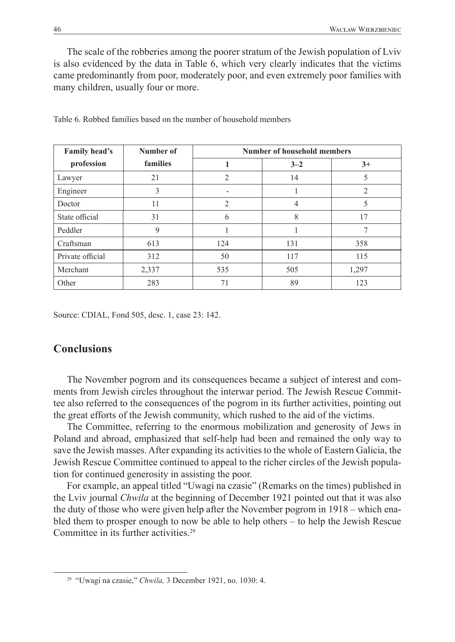The scale of the robberies among the poorer stratum of the Jewish population of Lviv is also evidenced by the data in Table 6, which very clearly indicates that the victims came predominantly from poor, moderately poor, and even extremely poor families with many children, usually four or more.

| Family head's    | Number of | <b>Number of household members</b> |         |       |  |  |
|------------------|-----------|------------------------------------|---------|-------|--|--|
| profession       | families  |                                    | $3 - 2$ | $3+$  |  |  |
| Lawyer           | 21        | $\overline{2}$                     | 14      |       |  |  |
| Engineer         | 3         | -                                  |         | 2     |  |  |
| Doctor           | 11        | $\mathfrak{D}$                     | 4       |       |  |  |
| State official   | 31        | 6                                  | 8       | 17    |  |  |
| Peddler          | 9         |                                    |         |       |  |  |
| Craftsman        | 613       | 124                                | 131     | 358   |  |  |
| Private official | 312       | 50                                 | 117     | 115   |  |  |
| Merchant         | 2,337     | 535                                | 505     | 1,297 |  |  |
| Other            | 283       | 71                                 | 89      | 123   |  |  |

Table 6. Robbed families based on the number of household members

Source: CDIAL, Fond 505, desc. 1, case 23: 142.

## **Conclusions**

The November pogrom and its consequences became a subject of interest and comments from Jewish circles throughout the interwar period. The Jewish Rescue Committee also referred to the consequences of the pogrom in its further activities, pointing out the great efforts of the Jewish community, which rushed to the aid of the victims.

The Committee, referring to the enormous mobilization and generosity of Jews in Poland and abroad, emphasized that self-help had been and remained the only way to save the Jewish masses. After expanding its activities to the whole of Eastern Galicia, the Jewish Rescue Committee continued to appeal to the richer circles of the Jewish population for continued generosity in assisting the poor.

For example, an appeal titled "Uwagi na czasie" (Remarks on the times) published in the Lviv journal *Chwila* at the beginning of December 1921 pointed out that it was also the duty of those who were given help after the November pogrom in 1918 – which enabled them to prosper enough to now be able to help others – to help the Jewish Rescue Committee in its further activities.29

<sup>29</sup> "Uwagi na czasie," *Chwila,* 3 December 1921, no. 1030: 4.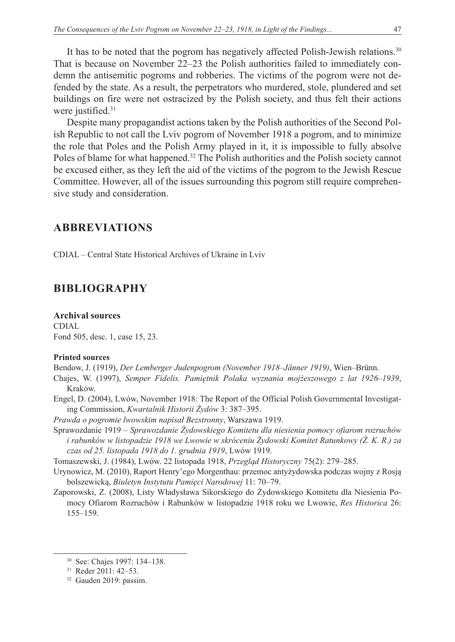It has to be noted that the pogrom has negatively affected Polish-Jewish relations.30 That is because on November 22–23 the Polish authorities failed to immediately condemn the antisemitic pogroms and robberies. The victims of the pogrom were not defended by the state. As a result, the perpetrators who murdered, stole, plundered and set buildings on fire were not ostracized by the Polish society, and thus felt their actions were justified.<sup>31</sup>

Despite many propagandist actions taken by the Polish authorities of the Second Polish Republic to not call the Lviv pogrom of November 1918 a pogrom, and to minimize the role that Poles and the Polish Army played in it, it is impossible to fully absolve Poles of blame for what happened.<sup>32</sup> The Polish authorities and the Polish society cannot be excused either, as they left the aid of the victims of the pogrom to the Jewish Rescue Committee. However, all of the issues surrounding this pogrom still require comprehensive study and consideration.

### **ABBREVIATIONS**

CDIAL – Central State Historical Archives of Ukraine in Lviv

## **BIBLIOGRAPHY**

**Archival sources** CDIAL Fond 505, desc. 1, case 15, 23.

#### **Printed sources**

Bendow, J. (1919), *Der Lemberger Judenpogrom (November 1918–Jänner 1919)*, Wien–Brünn.

- Chajes, W. (1997), *Semper Fidelis. Pamiętnik Polaka wyznania mojżeszowego z lat 1926–1939*, Kraków.
- Engel, D. (2004), Lwów, November 1918: The Report of the Official Polish Governmental Investigating Commission, *Kwartalnik Historii Żydów* 3: 387*–*395.
- *Prawda o pogromie lwowskim napisał Bezstronny*, Warszawa 1919.
- Sprawozdanie 1919 *Sprawozdanie Żydowskiego Komitetu dla niesienia pomocy ofiarom rozruchów i rabunków w listopadzie 1918 we Lwowie w skróceniu Żydowski Komitet Ratunkowy (Ż. K. R.) za czas od 25. listopada 1918 do 1. grudnia 1919*, Lwów 1919.
- Tomaszewski, J. (1984), Lwów. 22 listopada 1918, *Przegląd Historyczny* 75(2): 279*–*285.
- Urynowicz, M. (2010), Raport Henry'ego Morgenthau: przemoc antyżydowska podczas wojny z Rosją bolszewicką, *Biuletyn Instytutu Pamięci Narodowej* 11: 70*–*79.
- Zaporowski, Z. (2008), Listy Władysława Sikorskiego do Żydowskiego Komitetu dla Niesienia Pomocy Ofiarom Rozruchów i Rabunków w listopadzie 1918 roku we Lwowie, *Res Historica* 26: 155*–*159.

<sup>30</sup> See: Chajes 1997: 134–138.

<sup>31</sup> Reder 2011: 42–53.

<sup>32</sup> Gauden 2019: passim.